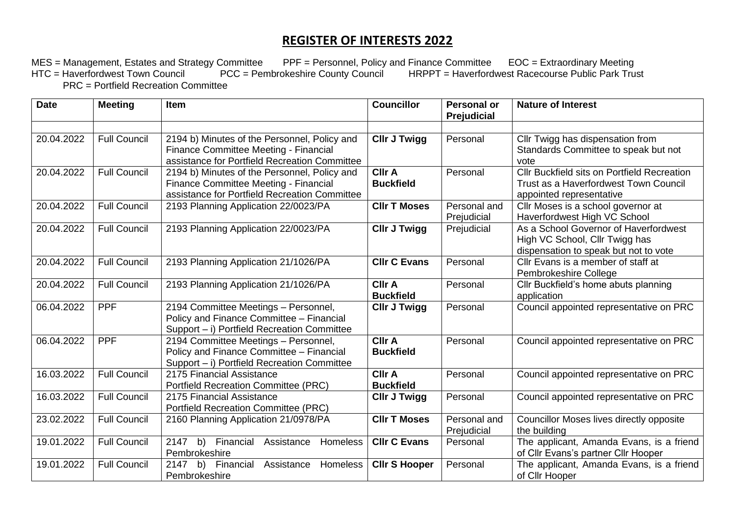## **REGISTER OF INTERESTS 2022**

MES = Management, Estates and Strategy Committee PPF = Personnel, Policy and Finance Committee EOC = Extraordinary Meeting HTC = Haverfordwest Town Council PCC = Pembrokeshire County Council HRPPT = Haverfordwest Racecourse Public Park Trust PRC = Portfield Recreation Committee

| <b>Date</b> | <b>Meeting</b>      | Item                                                                                                                                   | <b>Councillor</b>                 | <b>Personal or</b><br>Prejudicial | <b>Nature of Interest</b>                                                                                               |
|-------------|---------------------|----------------------------------------------------------------------------------------------------------------------------------------|-----------------------------------|-----------------------------------|-------------------------------------------------------------------------------------------------------------------------|
| 20.04.2022  | <b>Full Council</b> | 2194 b) Minutes of the Personnel, Policy and<br>Finance Committee Meeting - Financial<br>assistance for Portfield Recreation Committee | <b>Cllr J Twigg</b>               | Personal                          | Cllr Twigg has dispensation from<br>Standards Committee to speak but not<br>vote                                        |
| 20.04.2022  | <b>Full Council</b> | 2194 b) Minutes of the Personnel, Policy and<br>Finance Committee Meeting - Financial<br>assistance for Portfield Recreation Committee | <b>CIIr A</b><br><b>Buckfield</b> | Personal                          | <b>Cllr Buckfield sits on Portfield Recreation</b><br>Trust as a Haverfordwest Town Council<br>appointed representative |
| 20.04.2022  | <b>Full Council</b> | 2193 Planning Application 22/0023/PA                                                                                                   | <b>CIIr T Moses</b>               | Personal and<br>Prejudicial       | Cllr Moses is a school governor at<br>Haverfordwest High VC School                                                      |
| 20.04.2022  | <b>Full Council</b> | 2193 Planning Application 22/0023/PA                                                                                                   | <b>CIIr J Twigg</b>               | Prejudicial                       | As a School Governor of Haverfordwest<br>High VC School, Cllr Twigg has<br>dispensation to speak but not to vote        |
| 20.04.2022  | <b>Full Council</b> | 2193 Planning Application 21/1026/PA                                                                                                   | <b>CIIr C Evans</b>               | Personal                          | Cllr Evans is a member of staff at<br>Pembrokeshire College                                                             |
| 20.04.2022  | <b>Full Council</b> | 2193 Planning Application 21/1026/PA                                                                                                   | <b>Cllr A</b><br><b>Buckfield</b> | Personal                          | Cllr Buckfield's home abuts planning<br>application                                                                     |
| 06.04.2022  | <b>PPF</b>          | 2194 Committee Meetings - Personnel,<br>Policy and Finance Committee - Financial<br>Support - i) Portfield Recreation Committee        | <b>CIIr J Twigg</b>               | Personal                          | Council appointed representative on PRC                                                                                 |
| 06.04.2022  | <b>PPF</b>          | 2194 Committee Meetings - Personnel,<br>Policy and Finance Committee - Financial<br>Support - i) Portfield Recreation Committee        | <b>Cllr A</b><br><b>Buckfield</b> | Personal                          | Council appointed representative on PRC                                                                                 |
| 16.03.2022  | <b>Full Council</b> | 2175 Financial Assistance<br><b>Portfield Recreation Committee (PRC)</b>                                                               | <b>CIIr A</b><br><b>Buckfield</b> | Personal                          | Council appointed representative on PRC                                                                                 |
| 16.03.2022  | <b>Full Council</b> | 2175 Financial Assistance<br><b>Portfield Recreation Committee (PRC)</b>                                                               | <b>CIIr J Twigg</b>               | Personal                          | Council appointed representative on PRC                                                                                 |
| 23.02.2022  | <b>Full Council</b> | 2160 Planning Application 21/0978/PA                                                                                                   | <b>CIIr T Moses</b>               | Personal and<br>Prejudicial       | Councillor Moses lives directly opposite<br>the building                                                                |
| 19.01.2022  | <b>Full Council</b> | 2147 b) Financial<br>Assistance<br><b>Homeless</b><br>Pembrokeshire                                                                    | <b>CIIr C Evans</b>               | Personal                          | The applicant, Amanda Evans, is a friend<br>of Cllr Evans's partner Cllr Hooper                                         |
| 19.01.2022  | <b>Full Council</b> | 2147<br>b) Financial<br>Homeless<br>Assistance<br>Pembrokeshire                                                                        | <b>Cllr S Hooper</b>              | Personal                          | The applicant, Amanda Evans, is a friend<br>of Cllr Hooper                                                              |